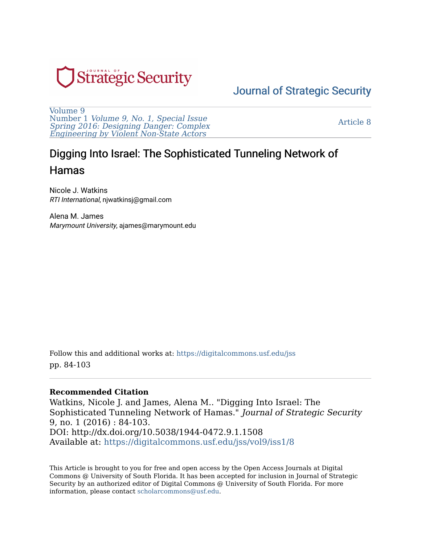

## [Journal of Strategic Security](https://digitalcommons.usf.edu/jss)

[Volume 9](https://digitalcommons.usf.edu/jss/vol9)  Number 1 [Volume 9, No. 1, Special Issue](https://digitalcommons.usf.edu/jss/vol9/iss1) [Spring 2016: Designing Danger: Complex](https://digitalcommons.usf.edu/jss/vol9/iss1) [Engineering by Violent Non-State Actors](https://digitalcommons.usf.edu/jss/vol9/iss1) 

[Article 8](https://digitalcommons.usf.edu/jss/vol9/iss1/8) 

# Digging Into Israel: The Sophisticated Tunneling Network of Hamas

Nicole J. Watkins RTI International, njwatkinsj@gmail.com

Alena M. James Marymount University, ajames@marymount.edu

Follow this and additional works at: [https://digitalcommons.usf.edu/jss](https://digitalcommons.usf.edu/jss?utm_source=digitalcommons.usf.edu%2Fjss%2Fvol9%2Fiss1%2F8&utm_medium=PDF&utm_campaign=PDFCoverPages) pp. 84-103

#### **Recommended Citation**

Watkins, Nicole J. and James, Alena M.. "Digging Into Israel: The Sophisticated Tunneling Network of Hamas." Journal of Strategic Security 9, no. 1 (2016) : 84-103. DOI: http://dx.doi.org/10.5038/1944-0472.9.1.1508 Available at: [https://digitalcommons.usf.edu/jss/vol9/iss1/8](https://digitalcommons.usf.edu/jss/vol9/iss1/8?utm_source=digitalcommons.usf.edu%2Fjss%2Fvol9%2Fiss1%2F8&utm_medium=PDF&utm_campaign=PDFCoverPages)

This Article is brought to you for free and open access by the Open Access Journals at Digital Commons @ University of South Florida. It has been accepted for inclusion in Journal of Strategic Security by an authorized editor of Digital Commons @ University of South Florida. For more information, please contact [scholarcommons@usf.edu.](mailto:scholarcommons@usf.edu)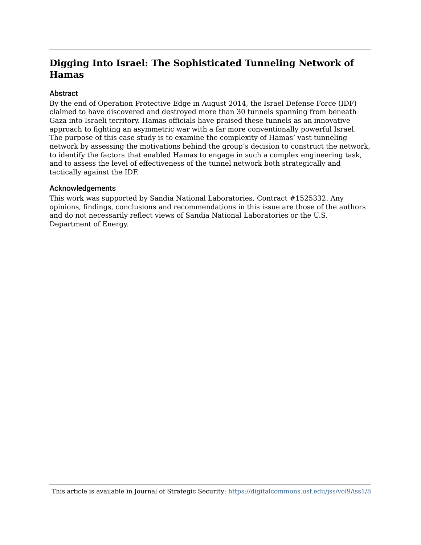## **Digging Into Israel: The Sophisticated Tunneling Network of Hamas**

#### **Abstract**

By the end of Operation Protective Edge in August 2014, the Israel Defense Force (IDF) claimed to have discovered and destroyed more than 30 tunnels spanning from beneath Gaza into Israeli territory. Hamas officials have praised these tunnels as an innovative approach to fighting an asymmetric war with a far more conventionally powerful Israel. The purpose of this case study is to examine the complexity of Hamas' vast tunneling network by assessing the motivations behind the group's decision to construct the network, to identify the factors that enabled Hamas to engage in such a complex engineering task, and to assess the level of effectiveness of the tunnel network both strategically and tactically against the IDF.

#### Acknowledgements

This work was supported by Sandia National Laboratories, Contract #1525332. Any opinions, findings, conclusions and recommendations in this issue are those of the authors and do not necessarily reflect views of Sandia National Laboratories or the U.S. Department of Energy.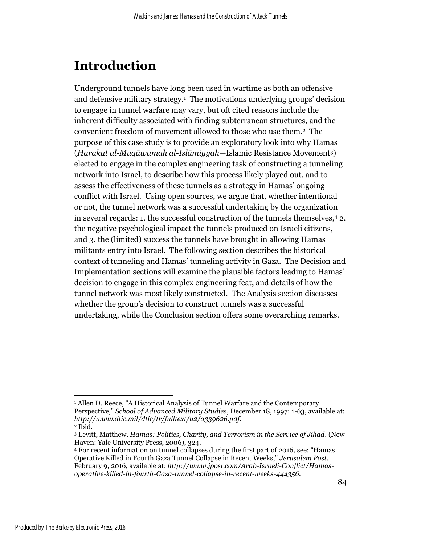# **Introduction**

Underground tunnels have long been used in wartime as both an offensive and defensive military strategy. <sup>1</sup> The motivations underlying groups' decision to engage in tunnel warfare may vary, but oft cited reasons include the inherent difficulty associated with finding subterranean structures, and the convenient freedom of movement allowed to those who use them.<sup>2</sup> The purpose of this case study is to provide an exploratory look into why Hamas (*Harakat al-Muqāwamah al-Islāmiyyah*—Islamic Resistance Movement3) elected to engage in the complex engineering task of constructing a tunneling network into Israel, to describe how this process likely played out, and to assess the effectiveness of these tunnels as a strategy in Hamas' ongoing conflict with Israel. Using open sources, we argue that, whether intentional or not, the tunnel network was a successful undertaking by the organization in several regards: 1. the successful construction of the tunnels themselves,<sup>4</sup> 2. the negative psychological impact the tunnels produced on Israeli citizens, and 3. the (limited) success the tunnels have brought in allowing Hamas militants entry into Israel. The following section describes the historical context of tunneling and Hamas' tunneling activity in Gaza. The Decision and Implementation sections will examine the plausible factors leading to Hamas' decision to engage in this complex engineering feat, and details of how the tunnel network was most likely constructed. The Analysis section discusses whether the group's decision to construct tunnels was a successful undertaking, while the Conclusion section offers some overarching remarks.

 $\overline{a}$ <sup>1</sup> Allen D. Reece, "A Historical Analysis of Tunnel Warfare and the Contemporary Perspective," *School of Advanced Military Studies*, December 18, 1997: 1-63, available at: *http://www.dtic.mil/dtic/tr/fulltext/u2/a339626.pdf.*

<sup>2</sup> Ibid.

<sup>3</sup> Levitt, Matthew, *Hamas: Politics, Charity, and Terrorism in the Service of Jihad*. (New Haven: Yale University Press, 2006), 324.

<sup>4</sup> For recent information on tunnel collapses during the first part of 2016, see: "Hamas Operative Killed in Fourth Gaza Tunnel Collapse in Recent Weeks," *Jerusalem Post*, February 9, 2016, available at: *[http://www.jpost.com/Arab-Israeli-Conflict/Hamas](http://www.jpost.com/Arab-Israeli-Conflict/Hamas-operative-killed-in-fourth-Gaza-tunnel-collapse-in-recent-weeks-444356)[operative-killed-in-fourth-Gaza-tunnel-collapse-in-recent-weeks-444356](http://www.jpost.com/Arab-Israeli-Conflict/Hamas-operative-killed-in-fourth-Gaza-tunnel-collapse-in-recent-weeks-444356)*.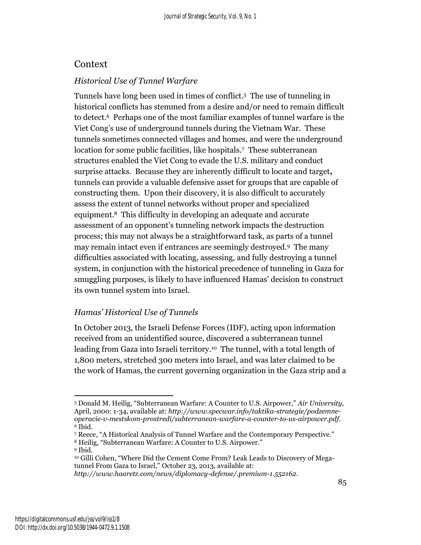### Context

### *Historical Use of Tunnel Warfare*

Tunnels have long been used in times of conflict. 5 The use of tunneling in historical conflicts has stemmed from a desire and/or need to remain difficult to detect.<sup>6</sup> Perhaps one of the most familiar examples of tunnel warfare is the Viet Cong's use of underground tunnels during the Vietnam War. These tunnels sometimes connected villages and homes, and were the underground location for some public facilities, like hospitals. <sup>7</sup> These subterranean structures enabled the Viet Cong to evade the U.S. military and conduct surprise attacks. Because they are inherently difficult to locate and target**,**  tunnels can provide a valuable defensive asset for groups that are capable of constructing them. Upon their discovery, it is also difficult to accurately assess the extent of tunnel networks without proper and specialized equipment.<sup>8</sup> This difficulty in developing an adequate and accurate assessment of an opponent's tunneling network impacts the destruction process; this may not always be a straightforward task, as parts of a tunnel may remain intact even if entrances are seemingly destroyed.<sup>9</sup> The many difficulties associated with locating, assessing, and fully destroying a tunnel system, in conjunction with the historical precedence of tunneling in Gaza for smuggling purposes, is likely to have influenced Hamas' decision to construct its own tunnel system into Israel.

#### *Hamas' Historical Use of Tunnels*

In October 2013, the Israeli Defense Forces (IDF), acting upon information received from an unidentified source, discovered a subterranean tunnel leading from Gaza into Israeli territory.<sup>10</sup> The tunnel, with a total length of 1,800 meters, stretched 300 meters into Israel, and was later claimed to be the work of Hamas, the current governing organization in the Gaza strip and a

 $\overline{a}$ <sup>5</sup> Donald M. Heilig, "Subterranean Warfare: A Counter to U.S. Airpower," *Air University*, April, 2000: 1-34, available at: *http://www.specwar.info/taktika-strategie/podzemneoperacie-v-mestskom-prostredi/subterranean-warfare-a-counter-to-us-airpower.pdf. <sup>6</sup>* Ibid.

<sup>7</sup> Reece, "A Historical Analysis of Tunnel Warfare and the Contemporary Perspective." <sup>8</sup> Heilig, "Subterranean Warfare: A Counter to U.S. Airpower."

<sup>9</sup> Ibid.

<sup>10</sup> Gilli Cohen, "Where Did the Cement Come From? Leak Leads to Discovery of Megatunnel From Gaza to Israel," October 23, 2013, available at:

*http://www.haaretz.com/news/diplomacy-defense/.premium-1.552162.*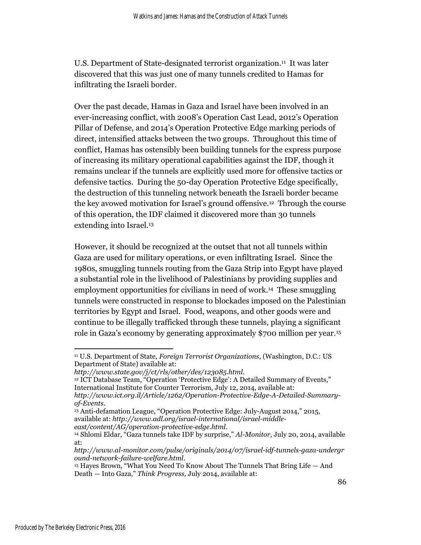U.S. Department of State-designated terrorist organization.<sup>11</sup> It was later discovered that this was just one of many tunnels credited to Hamas for infiltrating the Israeli border.

Over the past decade, Hamas in Gaza and Israel have been involved in an ever-increasing conflict, with 2008's Operation Cast Lead, 2012's Operation Pillar of Defense, and 2014's Operation Protective Edge marking periods of direct, intensified attacks between the two groups. Throughout this time of conflict, Hamas has ostensibly been building tunnels for the express purpose of increasing its military operational capabilities against the IDF, though it remains unclear if the tunnels are explicitly used more for offensive tactics or defensive tactics. During the 50-day Operation Protective Edge specifically, the destruction of this tunneling network beneath the Israeli border became the key avowed motivation for Israel's ground offensive. <sup>12</sup> Through the course of this operation, the IDF claimed it discovered more than 30 tunnels extending into Israel.<sup>13</sup>

However, it should be recognized at the outset that not all tunnels within Gaza are used for military operations, or even infiltrating Israel. Since the 1980s, smuggling tunnels routing from the Gaza Strip into Egypt have played a substantial role in the livelihood of Palestinians by providing supplies and employment opportunities for civilians in need of work. <sup>14</sup> These smuggling tunnels were constructed in response to blockades imposed on the Palestinian territories by Egypt and Israel. Food, weapons, and other goods were and continue to be illegally trafficked through these tunnels, playing a significant role in Gaza's economy by generating approximately \$700 million per year.<sup>15</sup>

<sup>12</sup> ICT Database Team, "Operation 'Protective Edge': A Detailed Summary of Events," International Institute for Counter Terrorism, July 12, 2014, available at:

l

<sup>11</sup> U.S. Department of State, *Foreign Terrorist Organizations*, [\(Washington, D.C.: US](http://www.state.gov/j/ct/rls/other/des/123085.htm)  [Department of State\) available at:](http://www.state.gov/j/ct/rls/other/des/123085.htm)

*[http://www.state.gov/j/ct/rls/other/des/123085.html.](http://www.state.gov/j/ct/rls/other/des/123085.htm)*

*http://www.ict.org.il/Article/1262/Operation-Protective-Edge-A-Detailed-Summaryof-Events*.

<sup>13</sup> Anti-defamation League, "Operation Protective Edge: July-August 2014," 2015, available at: *http://www.adl.org/israel-international/israel-middleeast/content/AG/operation-protective-edge.html*.

<sup>14</sup> Shlomi Eldar, "Gaza tunnels take IDF by surprise," *Al-Monitor,* July 20, 2014, available at:

*http://www.al-monitor.com/pulse/originals/2014/07/israel-idf-tunnels-gaza-undergr ound-network-failure-welfare.html*.

<sup>&</sup>lt;sup>15</sup> Hayes Brown, "What You Need To Know About The Tunnels That Bring Life — And Death — Into Gaza," *Think Progress,* July 2014, available at: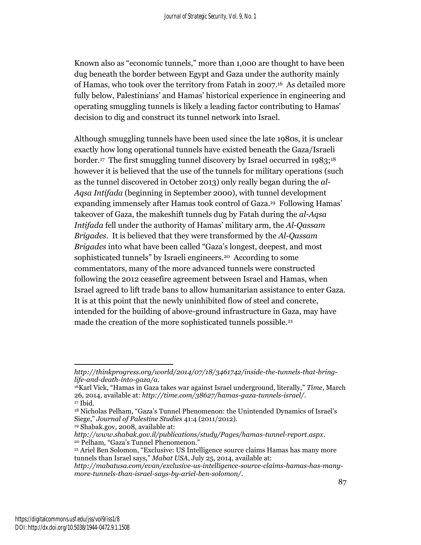Known also as "economic tunnels," more than 1,000 are thought to have been dug beneath the border between Egypt and Gaza under the authority mainly of Hamas, who took over the territory from Fatah in 2007. <sup>16</sup> As detailed more fully below, Palestinians' and Hamas' historical experience in engineering and operating smuggling tunnels is likely a leading factor contributing to Hamas' decision to dig and construct its tunnel network into Israel.

Although smuggling tunnels have been used since the late 1980s, it is unclear exactly how long operational tunnels have existed beneath the Gaza/Israeli border. <sup>17</sup> The first smuggling tunnel discovery by Israel occurred in 1983;<sup>18</sup> however it is believed that the use of the tunnels for military operations (such as the tunnel discovered in October 2013) only really began during the *al-Aqsa Intifada* (beginning in September 2000), with tunnel development expanding immensely after Hamas took control of Gaza. <sup>19</sup> Following Hamas' takeover of Gaza, the makeshift tunnels dug by Fatah during the *al-Aqsa Intifada* fell under the authority of Hamas' military arm, the *Al-Qassam Brigades*. It is believed that they were transformed by the *Al-Qassam Brigades* into what have been called "Gaza's longest, deepest, and most sophisticated tunnels" by Israeli engineers.<sup>20</sup> According to some commentators, many of the more advanced tunnels were constructed following the 2012 ceasefire agreement between Israel and Hamas, when Israel agreed to lift trade bans to allow humanitarian assistance to enter Gaza. It is at this point that the newly uninhibited flow of steel and concrete, intended for the building of above-ground infrastructure in Gaza, may have made the creation of the more sophisticated tunnels possible.<sup>21</sup>

<sup>19</sup> Shabak.gov, 2008, available at:

 $\overline{\phantom{a}}$ *http://thinkprogress.org/world/2014/07/18/3461742/inside-the-tunnels-that-bringlife-and-death-into-gaza/a*.

<sup>16</sup>Karl Vick, "Hamas in Gaza takes war against Israel underground, literally," *[Time](file:///C:/Users/JT/Downloads/Time)*, March 26, 2014, available at: *http://time.com/38627/hamas-gaza-tunnels-israel/*. <sup>17</sup> Ibid.

<sup>18</sup> Nicholas Pelham, "Gaza's Tunnel Phenomenon: the Unintended Dynamics of Israel's Siege," *Journal of Palestine Studies* 41:4 (2011/2012).

*http://www.shabak.gov.il/publications/study/Pages/hamas-tunnel-report.aspx*. <sup>20</sup> Pelham, "Gaza's Tunnel Phenomenon."

<sup>21</sup> Ariel Ben Solomon, "Exclusive: US Intelligence source claims Hamas has many more tunnels than Israel says," *Mabat USA*, July 25, 2014, available at:

*http://mabatusa.com/evan/exclusive-us-intelligence-source-claims-hamas-has-manymore-tunnels-than-israel-says-by-ariel-ben-solomon/*.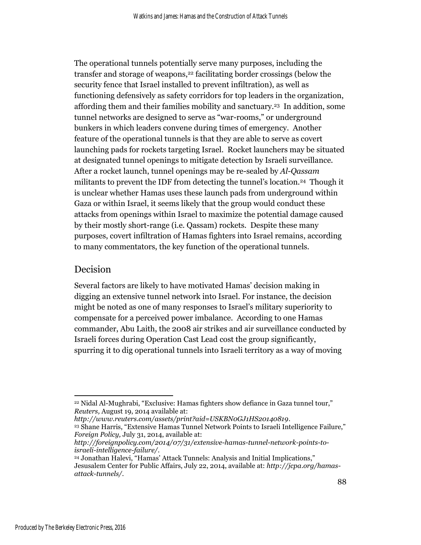The operational tunnels potentially serve many purposes, including the transfer and storage of weapons,<sup>22</sup> facilitating border crossings (below the security fence that Israel installed to prevent infiltration), as well as functioning defensively as safety corridors for top leaders in the organization, affording them and their families mobility and sanctuary.<sup>23</sup> In addition, some tunnel networks are designed to serve as "war-rooms," or underground bunkers in which leaders convene during times of emergency. Another feature of the operational tunnels is that they are able to serve as covert launching pads for rockets targeting Israel. Rocket launchers may be situated at designated tunnel openings to mitigate detection by Israeli surveillance. After a rocket launch, tunnel openings may be re-sealed by *Al-Qassam*  militants to prevent the IDF from detecting the tunnel's location.<sup>24</sup> Though it is unclear whether Hamas uses these launch pads from underground within Gaza or within Israel, it seems likely that the group would conduct these attacks from openings within Israel to maximize the potential damage caused by their mostly short-range (i.e. Qassam) rockets. Despite these many purposes, covert infiltration of Hamas fighters into Israel remains, according to many commentators, the key function of the operational tunnels.

#### Decision

Several factors are likely to have motivated Hamas' decision making in digging an extensive tunnel network into Israel. For instance, the decision might be noted as one of many responses to Israel's military superiority to compensate for a perceived power imbalance. According to one Hamas commander, Abu Laith, the 2008 air strikes and air surveillance conducted by Israeli forces during Operation Cast Lead cost the group significantly, spurring it to dig operational tunnels into Israeli territory as a way of moving

*http://www.reuters.com/assets/print?aid=USKBN0GJ1HS20140819*.

 $\overline{a}$ <sup>22</sup> Nidal Al-Mughrabi, "Exclusive: Hamas fighters show defiance in Gaza tunnel tour," *Reuters,* August 19, 2014 available at:

<sup>23</sup> Shane Harris, "Extensive Hamas Tunnel Network Points to Israeli Intelligence Failure," *Foreign Policy,* July 31, 2014, available at:

*http://foreignpolicy.com/2014/07/31/extensive-hamas-tunnel-network-points-toisraeli-intelligence-failure/*.

<sup>24</sup> Jonathan Halevi, "Hamas' Attack Tunnels: Analysis and Initial Implications," Jesusalem Center for Public Affairs, July 22, 2014, available at: *http://jcpa.org/hamasattack-tunnels/*.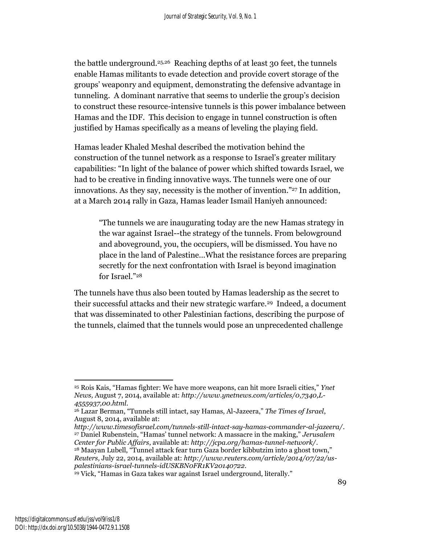the battle underground.25,26 Reaching depths of at least 30 feet, the tunnels enable Hamas militants to evade detection and provide covert storage of the groups' weaponry and equipment, demonstrating the defensive advantage in tunneling. A dominant narrative that seems to underlie the group's decision to construct these resource-intensive tunnels is this power imbalance between Hamas and the IDF. This decision to engage in tunnel construction is often justified by Hamas specifically as a means of leveling the playing field.

Hamas leader Khaled Meshal described the motivation behind the construction of the tunnel network as a response to Israel's greater military capabilities: "In light of the balance of power which shifted towards Israel, we had to be creative in finding innovative ways. The tunnels were one of our innovations. As they say, necessity is the mother of invention."<sup>27</sup> In addition, at a March 2014 rally in Gaza, Hamas leader Ismail Haniyeh announced:

"The tunnels we are inaugurating today are the new Hamas strategy in the war against Israel--the strategy of the tunnels. From belowground and aboveground, you, the occupiers, will be dismissed. You have no place in the land of Palestine...What the resistance forces are preparing secretly for the next confrontation with Israel is beyond imagination for Israel."<sup>28</sup>

The tunnels have thus also been touted by Hamas leadership as the secret to their successful attacks and their new strategic warfare.<sup>29</sup> Indeed, a document that was disseminated to other Palestinian factions, describing the purpose of the tunnels, claimed that the tunnels would pose an unprecedented challenge

*http://www.timesofisrael.com/tunnels-still-intact-say-hamas-commander-al-jazeera/*. <sup>27</sup> Daniel Rubenstein, "Hamas' tunnel network: A massacre in the making," *Jerusalem Center for Public Affairs*, available at: *http://jcpa.org/hamas-tunnel-network/*. <sup>28</sup> Maayan Lubell, "Tunnel attack fear turn Gaza border kibbutzim into a ghost town," *Reuters,* July 22, 2014, available at: *http://www.reuters.com/article/2014/07/22/uspalestinians-israel-tunnels-idUSKBN0FR1KV20140722*.

<sup>29</sup> Vick, "Hamas in Gaza takes war against Israel underground, literally."

 $\overline{\phantom{a}}$ 

<sup>25</sup> Rois Kais, "Hamas fighter: We have more weapons, can hit more Israeli cities," *Ynet News,* August 7, 2014, available at: *http://www.ynetnews.com/articles/0,7340,L-4555937,00.html*.

<sup>26</sup> Lazar Berman, "Tunnels still intact, say Hamas, Al-Jazeera," *The Times of Israel*, August 8, 2014, available at: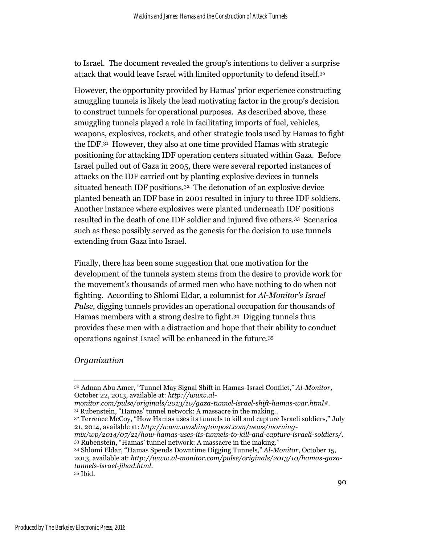to Israel. The document revealed the group's intentions to deliver a surprise attack that would leave Israel with limited opportunity to defend itself.<sup>30</sup>

However, the opportunity provided by Hamas' prior experience constructing smuggling tunnels is likely the lead motivating factor in the group's decision to construct tunnels for operational purposes. As described above, these smuggling tunnels played a role in facilitating imports of fuel, vehicles, weapons, explosives, rockets, and other strategic tools used by Hamas to fight the IDF.<sup>31</sup> However, they also at one time provided Hamas with strategic positioning for attacking IDF operation centers situated within Gaza. Before Israel pulled out of Gaza in 2005, there were several reported instances of attacks on the IDF carried out by planting explosive devices in tunnels situated beneath IDF positions.<sup>32</sup> The detonation of an explosive device planted beneath an IDF base in 2001 resulted in injury to three IDF soldiers. Another instance where explosives were planted underneath IDF positions resulted in the death of one IDF soldier and injured five others.<sup>33</sup> Scenarios such as these possibly served as the genesis for the decision to use tunnels extending from Gaza into Israel.

Finally, there has been some suggestion that one motivation for the development of the tunnels system stems from the desire to provide work for the movement's thousands of armed men who have nothing to do when not fighting. According to Shlomi Eldar, a columnist for *Al-Monitor's Israel Pulse,* digging tunnels provides an operational occupation for thousands of Hamas members with a strong desire to fight.<sup>34</sup> Digging tunnels thus provides these men with a distraction and hope that their ability to conduct operations against Israel will be enhanced in the future.<sup>35</sup>

#### *Organization*

 $\overline{\phantom{a}}$ 

*mix/wp/2014/07/21/how-hamas-uses-its-tunnels-to-kill-and-capture-israeli-soldiers/*. <sup>33</sup> Rubenstein, "Hamas' tunnel network: A massacre in the making."

<sup>30</sup> Adnan Abu Amer, "Tunnel May Signal Shift in Hamas-Israel Conflict," *Al-Monitor,* October 22, 2013, available at: *http://www.al-*

*monitor.com/pulse/originals/2013/10/gaza-tunnel-israel-shift-hamas-war.html#.* <sup>31</sup> Rubenstein, "Hamas' tunnel network: A massacre in the making..

<sup>32</sup> Terrence McCoy, "How Hamas uses its tunnels to kill and capture Israeli soldiers," July 21, 2014, available at: *http://www.washingtonpost.com/news/morning-*

<sup>34</sup> Shlomi Eldar, "Hamas Spends Downtime Digging Tunnels," *Al-Monitor*, October 15, 2013, available at: *http://www.al-monitor.com/pulse/originals/2013/10/hamas-gazatunnels-israel-jihad.html.*

<sup>35</sup> Ibid.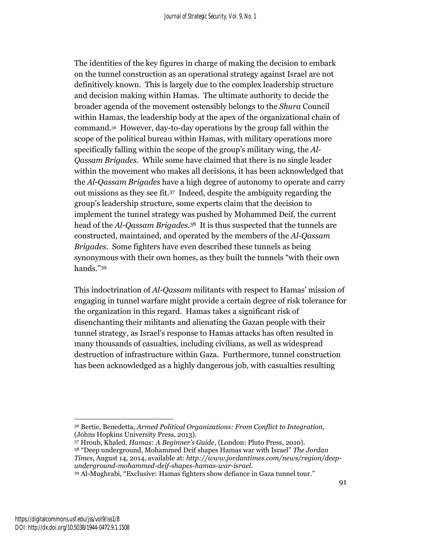The identities of the key figures in charge of making the decision to embark on the tunnel construction as an operational strategy against Israel are not definitively known. This is largely due to the complex leadership structure and decision making within Hamas. The ultimate authority to decide the broader agenda of the movement ostensibly belongs to the *Shura* Council within Hamas, the leadership body at the apex of the organizational chain of command.<sup>36</sup> However, day-to-day operations by the group fall within the scope of the political bureau within Hamas, with military operations more specifically falling within the scope of the group's military wing, the *Al-Qassam Brigades.* While some have claimed that there is no single leader within the movement who makes all decisions, it has been acknowledged that the *Al-Qassam Brigades* have a high degree of autonomy to operate and carry out missions as they see fit.<sup>37</sup> Indeed, despite the ambiguity regarding the group's leadership structure, some experts claim that the decision to implement the tunnel strategy was pushed by Mohammed Deif, the current head of the *Al-Qassam Brigades*. <sup>38</sup> It is thus suspected that the tunnels are constructed, maintained, and operated by the members of the *Al-Qassam Brigades*. Some fighters have even described these tunnels as being synonymous with their own homes, as they built the tunnels "with their own hands."<sup>39</sup>

This indoctrination of *Al-Qassam* militants with respect to Hamas' mission of engaging in tunnel warfare might provide a certain degree of risk tolerance for the organization in this regard. Hamas takes a significant risk of disenchanting their militants and alienating the Gazan people with their tunnel strategy, as Israel's response to Hamas attacks has often resulted in many thousands of casualties, including civilians, as well as widespread destruction of infrastructure within Gaza. Furthermore, tunnel construction has been acknowledged as a highly dangerous job, with casualties resulting

<sup>39</sup> Al-Mughrabi, "Exclusive: Hamas fighters show defiance in Gaza tunnel tour."

 $\overline{a}$ <sup>36</sup> Bertie, Benedetta, *Armed Political Organizations: From Conflict to Integration,* (Johns Hopkins University Press, 2013).

<sup>37</sup> Hroub, Khaled, *Hamas: A Beginner's Guide*, (London: Pluto Press, 2010). <sup>38</sup> "Deep underground, Mohammed Deif shapes Hamas war with Israel" *The Jordan Times*, August 14, 2014, available at: *http://www.jordantimes.com/news/region/deepunderground-mohammed-deif-shapes-hamas-war-israel*.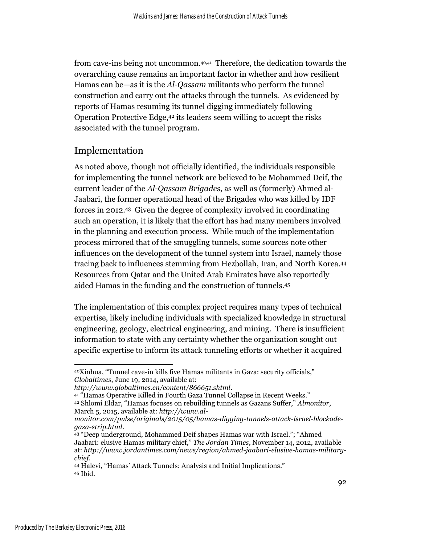from cave-ins being not uncommon.40,41 Therefore, the dedication towards the overarching cause remains an important factor in whether and how resilient Hamas can be—as it is the *Al-Qassam* militants who perform the tunnel construction and carry out the attacks through the tunnels. As evidenced by reports of Hamas resuming its tunnel digging immediately following Operation Protective Edge, <sup>42</sup> its leaders seem willing to accept the risks associated with the tunnel program.

## Implementation

As noted above, though not officially identified, the individuals responsible for implementing the tunnel network are believed to be Mohammed Deif, the current leader of the *Al-Qassam Brigades*, as well as (formerly) Ahmed al-Jaabari, the former operational head of the Brigades who was killed by IDF forces in 2012.43 Given the degree of complexity involved in coordinating such an operation, it is likely that the effort has had many members involved in the planning and execution process. While much of the implementation process mirrored that of the smuggling tunnels, some sources note other influences on the development of the tunnel system into Israel, namely those tracing back to influences stemming from Hezbollah, Iran, and North Korea.<sup>44</sup> Resources from Qatar and the United Arab Emirates have also reportedly aided Hamas in the funding and the construction of tunnels.<sup>45</sup>

The implementation of this complex project requires many types of technical expertise, likely including individuals with specialized knowledge in structural engineering, geology, electrical engineering, and mining. There is insufficient information to state with any certainty whether the organization sought out specific expertise to inform its attack tunneling efforts or whether it acquired

 $\overline{\phantom{a}}$ <sup>40</sup>Xinhua, "Tunnel cave-in kills five Hamas militants in Gaza: security officials," *Globaltimes*, June 19, 2014, available at:

*http://www.globaltimes.cn/content/866651.shtml*.

<sup>41</sup> "Hamas Operative Killed in Fourth Gaza Tunnel Collapse in Recent Weeks."

<sup>42</sup> Shlomi Eldar, "Hamas focuses on rebuilding tunnels as Gazans Suffer," *Almonitor,*  March 5, 2015, available at: *http://www.al-*

*monitor.com/pulse/originals/2015/05/hamas-digging-tunnels-attack-israel-blockadegaza-strip.html*.

<sup>43</sup> "Deep underground, Mohammed Deif shapes Hamas war with Israel."; "Ahmed Jaabari: elusive Hamas military chief," *The Jordan Times*, November 14, 2012, available at: *http://www.jordantimes.com/news/region/ahmed-jaabari-elusive-hamas-militarychief*.

<sup>44</sup> Halevi, "Hamas' Attack Tunnels: Analysis and Initial Implications." <sup>45</sup> Ibid.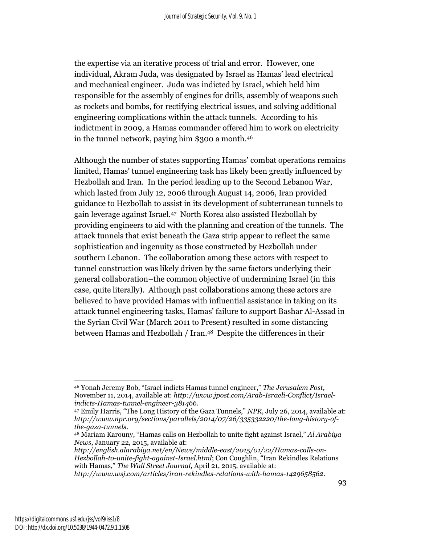the expertise via an iterative process of trial and error. However, one individual, Akram Juda, was designated by Israel as Hamas' lead electrical and mechanical engineer. Juda was indicted by Israel, which held him responsible for the assembly of engines for drills, assembly of weapons such as rockets and bombs, for rectifying electrical issues, and solving additional engineering complications within the attack tunnels. According to his indictment in 2009, a Hamas commander offered him to work on electricity in the tunnel network, paying him \$300 a month. 46

Although the number of states supporting Hamas' combat operations remains limited, Hamas' tunnel engineering task has likely been greatly influenced by Hezbollah and Iran. In the period leading up to the Second Lebanon War, which lasted from July 12, 2006 through August 14, 2006, Iran provided guidance to Hezbollah to assist in its development of subterranean tunnels to gain leverage against Israel.<sup>47</sup> North Korea also assisted Hezbollah by providing engineers to aid with the planning and creation of the tunnels. The attack tunnels that exist beneath the Gaza strip appear to reflect the same sophistication and ingenuity as those constructed by Hezbollah under southern Lebanon. The collaboration among these actors with respect to tunnel construction was likely driven by the same factors underlying their general collaboration–the common objective of undermining Israel (in this case, quite literally). Although past collaborations among these actors are believed to have provided Hamas with influential assistance in taking on its attack tunnel engineering tasks, Hamas' failure to support Bashar Al-Assad in the Syrian Civil War (March 2011 to Present) resulted in some distancing between Hamas and Hezbollah / Iran.<sup>48</sup> Despite the differences in their

*http://english.alarabiya.net/en/News/middle-east/2015/01/22/Hamas-calls-on-Hezbollah-to-unite-fight-against-Israel.html*; Con Coughlin, "Iran Rekindles Relations with Hamas," *The Wall Street Journal,* April 21, 2015, available at:

*http://www.wsj.com/articles/iran-rekindles-relations-with-hamas-1429658562*.

 $\overline{\phantom{a}}$ <sup>46</sup> Yonah Jeremy Bob, "Israel indicts Hamas tunnel engineer," *The Jerusalem Post,*  November 11, 2014, available at: *http://www.jpost.com/Arab-Israeli-Conflict/Israelindicts-Hamas-tunnel-engineer-381466*.

<sup>47</sup> Emily Harris, "The Long History of the Gaza Tunnels," *NPR*, July 26, 2014, available at: *http://www.npr.org/sections/parallels/2014/07/26/335332220/the-long-history-ofthe-gaza-tunnels*.

<sup>48</sup> Mariam Karouny, "Hamas calls on Hezbollah to unite fight against Israel," *Al Arabiya News*, January 22, 2015, available at: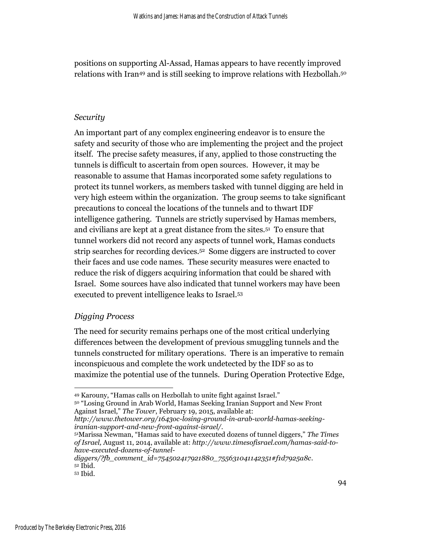positions on supporting Al-Assad, Hamas appears to have recently improved relations with Iran<sup>49</sup> and is still seeking to improve relations with Hezbollah. 50

#### *Security*

An important part of any complex engineering endeavor is to ensure the safety and security of those who are implementing the project and the project itself. The precise safety measures, if any, applied to those constructing the tunnels is difficult to ascertain from open sources. However, it may be reasonable to assume that Hamas incorporated some safety regulations to protect its tunnel workers, as members tasked with tunnel digging are held in very high esteem within the organization. The group seems to take significant precautions to conceal the locations of the tunnels and to thwart IDF intelligence gathering. Tunnels are strictly supervised by Hamas members, and civilians are kept at a great distance from the sites.<sup>51</sup> To ensure that tunnel workers did not record any aspects of tunnel work, Hamas conducts strip searches for recording devices.<sup>52</sup> Some diggers are instructed to cover their faces and use code names. These security measures were enacted to reduce the risk of diggers acquiring information that could be shared with Israel. Some sources have also indicated that tunnel workers may have been executed to prevent intelligence leaks to Israel.<sup>53</sup>

#### *Digging Process*

The need for security remains perhaps one of the most critical underlying differences between the development of previous smuggling tunnels and the tunnels constructed for military operations. There is an imperative to remain inconspicuous and complete the work undetected by the IDF so as to maximize the potential use of the tunnels. During Operation Protective Edge,

 $\overline{\phantom{a}}$ <sup>49</sup> Karouny, "Hamas calls on Hezbollah to unite fight against Israel."

<sup>50</sup> "Losing Ground in Arab World, Hamas Seeking Iranian Support and New Front Against Israel," *The Tower*, February 19, 2015, available at:

*http://www.thetower.org/1643oc-losing-ground-in-arab-world-hamas-seekingiranian-support-and-new-front-against-israel/.*

<sup>51</sup>Marissa Newman, "Hamas said to have executed dozens of tunnel diggers," *The Times of Israel,* August 11, 2014, available at: *http://www.timesofisrael.com/hamas-said-tohave-executed-dozens-of-tunnel-*

*diggers/?fb\_comment\_id=754502417921880\_755631041142351#f1d7925a8c*. <sup>52</sup> Ibid.

<sup>53</sup> Ibid.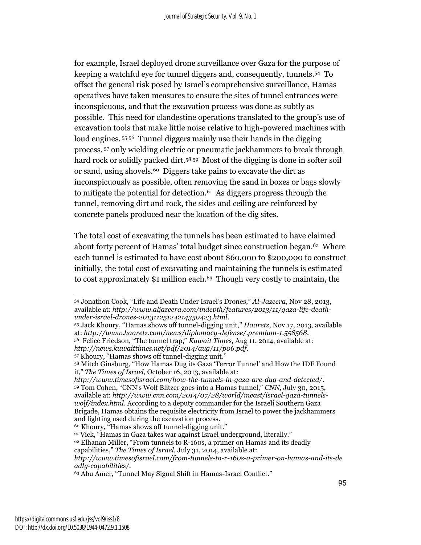for example, Israel deployed drone surveillance over Gaza for the purpose of keeping a watchful eye for tunnel diggers and, consequently, tunnels.<sup>54</sup> To offset the general risk posed by Israel's comprehensive surveillance, Hamas operatives have taken measures to ensure the sites of tunnel entrances were inconspicuous, and that the excavation process was done as subtly as possible. This need for clandestine operations translated to the group's use of excavation tools that make little noise relative to high-powered machines with loud engines.  $55,56$  Tunnel diggers mainly use their hands in the digging process, <sup>57</sup> only wielding electric or pneumatic jackhammers to break through hard rock or solidly packed dirt.<sup>58,59</sup> Most of the digging is done in softer soil or sand, using shovels.<sup>60</sup> Diggers take pains to excavate the dirt as inconspicuously as possible, often removing the sand in boxes or bags slowly to mitigate the potential for detection.<sup>61</sup> As diggers progress through the tunnel, removing dirt and rock, the sides and ceiling are reinforced by concrete panels produced near the location of the dig sites.

The total cost of excavating the tunnels has been estimated to have claimed about forty percent of Hamas' total budget since construction began.<sup>62</sup> Where each tunnel is estimated to have cost about \$60,000 to \$200,000 to construct initially, the total cost of excavating and maintaining the tunnels is estimated to cost approximately \$1 million each.<sup>63</sup> Though very costly to maintain, the

<sup>55</sup> Jack Khoury, "Hamas shows off tunnel-digging unit," *Haaretz*, Nov 17, 2013, available at: *http://www.haaretz.com/news/diplomacy-defense/.premium-1.558568*. <sup>56</sup> Felice Friedson, "The tunnel trap," *Kuwait Times,* Aug 11, 2014, available at:

*http://news.kuwaittimes.net/pdf/2014/aug/11/p06.pdf*.

 $\overline{a}$ <sup>54</sup> Jonathon Cook, "Life and Death Under Israel's Drones," *Al-Jazeera,* Nov 28, 2013, available at: *http://www.aljazeera.com/indepth/features/2013/11/gaza-life-deathunder-israel-drones-20131125124214350423.html*.

 $57$  Khoury, "Hamas shows off tunnel-digging unit."

<sup>58</sup> Mitch Ginsburg, "How Hamas Dug its Gaza 'Terror Tunnel' and How the IDF Found it," *The Times of Israel,* October 16, 2013, available at:

*http://www.timesofisrael.com/how-the-tunnels-in-gaza-are-dug-and-detected/.* <sup>59</sup> Tom Cohen, "CNN's Wolf Blitzer goes into a Hamas tunnel," *CNN*, July 30, 2015, available at: *http://www.cnn.com/2014/07/28/world/meast/israel-gaza-tunnelswolf/index.html*. According to a deputy commander for the Israeli Southern Gaza Brigade, Hamas obtains the requisite electricity from Israel to power the jackhammers and lighting used during the excavation process.

<sup>60</sup> Khoury, "Hamas shows off tunnel-digging unit."

<sup>61</sup> Vick, "Hamas in Gaza takes war against Israel underground, literally."

<sup>&</sup>lt;sup>62</sup> Elhanan Miller, "From tunnels to R-160s, a primer on Hamas and its deadly

capabilities," *The Times of Israel,* July 31, 2014, available at:

*http://www.timesofisrael.com/from-tunnels-to-r-160s-a-primer-on-hamas-and-its-de adly-capabilities/.*

<sup>63</sup> Abu Amer, "Tunnel May Signal Shift in Hamas-Israel Conflict."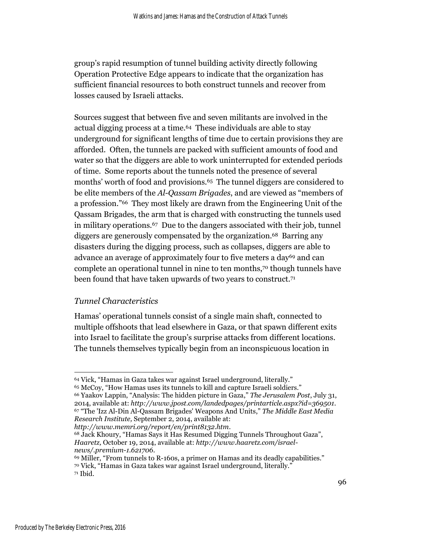group's rapid resumption of tunnel building activity directly following Operation Protective Edge appears to indicate that the organization has sufficient financial resources to both construct tunnels and recover from losses caused by Israeli attacks.

Sources suggest that between five and seven militants are involved in the actual digging process at a time.<sup>64</sup> These individuals are able to stay underground for significant lengths of time due to certain provisions they are afforded. Often, the tunnels are packed with sufficient amounts of food and water so that the diggers are able to work uninterrupted for extended periods of time. Some reports about the tunnels noted the presence of several months' worth of food and provisions.<sup>65</sup> The tunnel diggers are considered to be elite members of the *Al-Qassam Brigades*, and are viewed as "members of a profession."<sup>66</sup> They most likely are drawn from the Engineering Unit of the Qassam Brigades, the arm that is charged with constructing the tunnels used in military operations.<sup>67</sup> Due to the dangers associated with their job, tunnel diggers are generously compensated by the organization.<sup>68</sup> Barring any disasters during the digging process, such as collapses, diggers are able to advance an average of approximately four to five meters a day<sup>69</sup> and can complete an operational tunnel in nine to ten months, <sup>70</sup> though tunnels have been found that have taken upwards of two years to construct.<sup>71</sup>

#### *Tunnel Characteristics*

Hamas' operational tunnels consist of a single main shaft, connected to multiple offshoots that lead elsewhere in Gaza, or that spawn different exits into Israel to facilitate the group's surprise attacks from different locations. The tunnels themselves typically begin from an inconspicuous location in

*Research Institute,* September 2, 2014, available at: *http://www.memri.org/report/en/print8132.htm*.

 $\overline{a}$ 

<sup>64</sup> Vick, "Hamas in Gaza takes war against Israel underground, literally." <sup>65</sup> McCoy, "How Hamas uses its tunnels to kill and capture Israeli soldiers."

<sup>66</sup> Yaakov Lappin, "Analysis: The hidden picture in Gaza," *The Jerusalem Post*, July 31, 2014, available at: *http://www.jpost.com/landedpages/printarticle.aspx?id=369501.* <sup>67</sup> "The 'Izz AlDin AlQassam Brigades' Weapons And Units," *The Middle East Media* 

<sup>68</sup> Jack Khoury, "Hamas Says it Has Resumed Digging Tunnels Throughout Gaza", *Haaretz,* October 19, 2014, available at: *http://www.haaretz.com/israelnews/.premium-1.621706.*

<sup>&</sup>lt;sup>69</sup> Miller, "From tunnels to R-160s, a primer on Hamas and its deadly capabilities." <sup>70</sup> Vick, "Hamas in Gaza takes war against Israel underground, literally." <sup>71</sup> Ibid.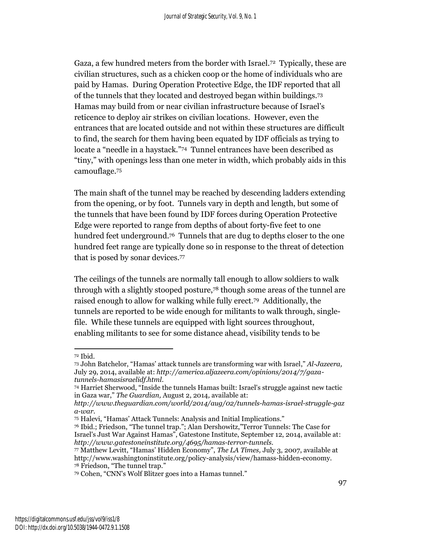Gaza, a few hundred meters from the border with Israel.<sup>72</sup> Typically, these are civilian structures, such as a chicken coop or the home of individuals who are paid by Hamas. During Operation Protective Edge, the IDF reported that all of the tunnels that they located and destroyed began within buildings.<sup>73</sup> Hamas may build from or near civilian infrastructure because of Israel's reticence to deploy air strikes on civilian locations. However, even the entrances that are located outside and not within these structures are difficult to find, the search for them having been equated by IDF officials as trying to locate a "needle in a haystack."<sup>74</sup> Tunnel entrances have been described as "tiny," with openings less than one meter in width, which probably aids in this camouflage.<sup>75</sup>

The main shaft of the tunnel may be reached by descending ladders extending from the opening, or by foot. Tunnels vary in depth and length, but some of the tunnels that have been found by IDF forces during Operation Protective Edge were reported to range from depths of about forty-five feet to one hundred feet underground.<sup>76</sup> Tunnels that are dug to depths closer to the one hundred feet range are typically done so in response to the threat of detection that is posed by sonar devices.<sup>77</sup>

The ceilings of the tunnels are normally tall enough to allow soldiers to walk through with a slightly stooped posture,<sup>78</sup> though some areas of the tunnel are raised enough to allow for walking while fully erect.<sup>79</sup> Additionally, the tunnels are reported to be wide enough for militants to walk through, singlefile. While these tunnels are equipped with light sources throughout, enabling militants to see for some distance ahead, visibility tends to be

l

<sup>72</sup> Ibid.

<sup>73</sup> John Batchelor, "Hamas' attack tunnels are transforming war with Israel," *Al-Jazeera,*  July 29, 2014, available at: *http://america.aljazeera.com/opinions/2014/7/gazatunnels-hamasisraelidf.html.*

<sup>74</sup> Harriet Sherwood, "Inside the tunnels Hamas built: Israel's struggle against new tactic in Gaza war," *The Guardian,* August 2, 2014*,* available at:

*http://www.theguardian.com/world/2014/aug/02/tunnels-hamas-israel-struggle-gaz a-war.*

<sup>75</sup> Halevi, "Hamas' Attack Tunnels: Analysis and Initial Implications."

<sup>76</sup> Ibid.; Friedson, "The tunnel trap."; Alan Dershowitz,"Terror Tunnels: The Case for Israel's Just War Against Hamas", Gatestone Institute, September 12, 2014, available at: *http://www.gatestoneinstitute.org/4695/hamas-terror-tunnels.*

<sup>77</sup> Matthew Levitt, "Hamas' Hidden Economy", *The LA Times,* July 3, 2007, available at http://www.washingtoninstitute.org/policy-analysis/view/hamass-hidden-economy. <sup>78</sup> Friedson, "The tunnel trap."

<sup>79</sup> Cohen, "CNN's Wolf Blitzer goes into a Hamas tunnel."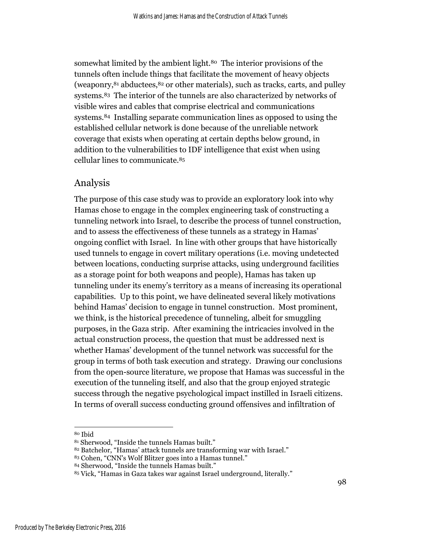somewhat limited by the ambient light.<sup>80</sup> The interior provisions of the tunnels often include things that facilitate the movement of heavy objects (weaponry,<sup>81</sup> abductees, <sup>82</sup> or other materials), such as tracks, carts, and pulley systems. <sup>83</sup> The interior of the tunnels are also characterized by networks of visible wires and cables that comprise electrical and communications systems.<sup>84</sup> Installing separate communication lines as opposed to using the established cellular network is done because of the unreliable network coverage that exists when operating at certain depths below ground, in addition to the vulnerabilities to IDF intelligence that exist when using cellular lines to communicate.<sup>85</sup>

#### Analysis

The purpose of this case study was to provide an exploratory look into why Hamas chose to engage in the complex engineering task of constructing a tunneling network into Israel, to describe the process of tunnel construction, and to assess the effectiveness of these tunnels as a strategy in Hamas' ongoing conflict with Israel. In line with other groups that have historically used tunnels to engage in covert military operations (i.e. moving undetected between locations, conducting surprise attacks, using underground facilities as a storage point for both weapons and people), Hamas has taken up tunneling under its enemy's territory as a means of increasing its operational capabilities. Up to this point, we have delineated several likely motivations behind Hamas' decision to engage in tunnel construction. Most prominent, we think, is the historical precedence of tunneling, albeit for smuggling purposes, in the Gaza strip. After examining the intricacies involved in the actual construction process, the question that must be addressed next is whether Hamas' development of the tunnel network was successful for the group in terms of both task execution and strategy. Drawing our conclusions from the open-source literature, we propose that Hamas was successful in the execution of the tunneling itself, and also that the group enjoyed strategic success through the negative psychological impact instilled in Israeli citizens. In terms of overall success conducting ground offensives and infiltration of

l

<sup>80</sup> Ibid

<sup>81</sup> Sherwood, "Inside the tunnels Hamas built."

<sup>82</sup> Batchelor, "Hamas' attack tunnels are transforming war with Israel."

<sup>83</sup> Cohen, "CNN's Wolf Blitzer goes into a Hamas tunnel."

<sup>84</sup> Sherwood, "Inside the tunnels Hamas built."

<sup>85</sup> Vick, "Hamas in Gaza takes war against Israel underground, literally."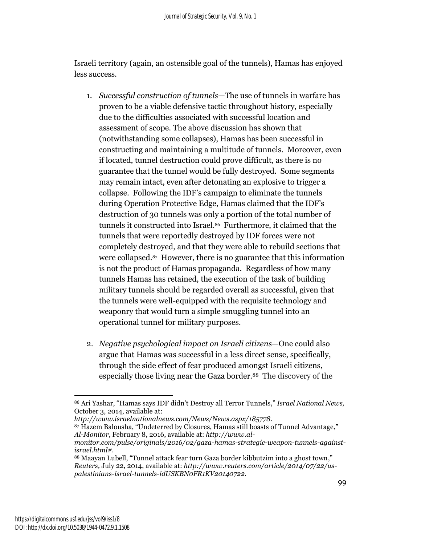Israeli territory (again, an ostensible goal of the tunnels), Hamas has enjoyed less success.

- 1. *Successful construction of tunnels*—The use of tunnels in warfare has proven to be a viable defensive tactic throughout history, especially due to the difficulties associated with successful location and assessment of scope. The above discussion has shown that (notwithstanding some collapses), Hamas has been successful in constructing and maintaining a multitude of tunnels. Moreover, even if located, tunnel destruction could prove difficult, as there is no guarantee that the tunnel would be fully destroyed. Some segments may remain intact, even after detonating an explosive to trigger a collapse. Following the IDF's campaign to eliminate the tunnels during Operation Protective Edge, Hamas claimed that the IDF's destruction of 30 tunnels was only a portion of the total number of tunnels it constructed into Israel.<sup>86</sup> Furthermore, it claimed that the tunnels that were reportedly destroyed by IDF forces were not completely destroyed, and that they were able to rebuild sections that were collapsed.<sup>87</sup> However, there is no guarantee that this information is not the product of Hamas propaganda. Regardless of how many tunnels Hamas has retained, the execution of the task of building military tunnels should be regarded overall as successful, given that the tunnels were well-equipped with the requisite technology and weaponry that would turn a simple smuggling tunnel into an operational tunnel for military purposes.
- 2. *Negative psychological impact on Israeli citizens*—One could also argue that Hamas was successful in a less direct sense, specifically, through the side effect of fear produced amongst Israeli citizens, especially those living near the Gaza border. <sup>88</sup> The discovery of the

 $\overline{a}$ <sup>86</sup> Ari Yashar, "Hamas says IDF didn't Destroy all Terror Tunnels," *Israel National News,* October 3, 2014, available at:

*http://www.israelnationalnews.com/News/News.aspx/185778.*

<sup>87</sup> Hazem Balousha, "Undeterred by Closures, Hamas still boasts of Tunnel Advantage," *Al-Monitor*, February 8, 2016, available at: *http://www.al-*

*monitor.com/pulse/originals/2016/02/gaza-hamas-strategic-weapon-tunnels-againstisrael.html#.*

<sup>88</sup> Maayan Lubell, "Tunnel attack fear turn Gaza border kibbutzim into a ghost town," *Reuters,* July 22, 2014, available at: *http://www.reuters.com/article/2014/07/22/uspalestinians-israel-tunnels-idUSKBN0FR1KV20140722*.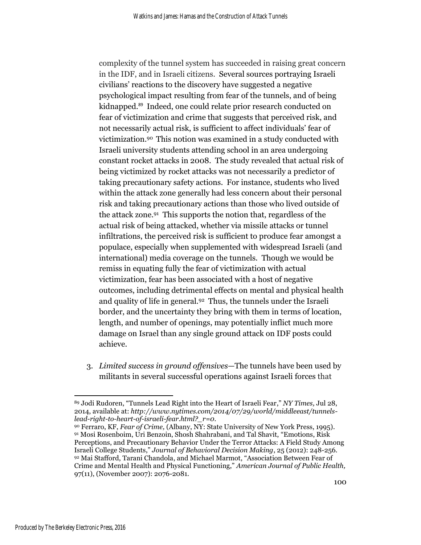complexity of the tunnel system has succeeded in raising great concern in the IDF, and in Israeli citizens. Several sources portraying Israeli civilians' reactions to the discovery have suggested a negative psychological impact resulting from fear of the tunnels, and of being kidnapped. <sup>89</sup> Indeed, one could relate prior research conducted on fear of victimization and crime that suggests that perceived risk, and not necessarily actual risk, is sufficient to affect individuals' fear of victimization.<sup>90</sup> This notion was examined in a study conducted with Israeli university students attending school in an area undergoing constant rocket attacks in 2008. The study revealed that actual risk of being victimized by rocket attacks was not necessarily a predictor of taking precautionary safety actions. For instance, students who lived within the attack zone generally had less concern about their personal risk and taking precautionary actions than those who lived outside of the attack zone.<sup>91</sup> This supports the notion that, regardless of the actual risk of being attacked, whether via missile attacks or tunnel infiltrations, the perceived risk is sufficient to produce fear amongst a populace, especially when supplemented with widespread Israeli (and international) media coverage on the tunnels. Though we would be remiss in equating fully the fear of victimization with actual victimization, fear has been associated with a host of negative outcomes, including detrimental effects on mental and physical health and quality of life in general. <sup>92</sup> Thus, the tunnels under the Israeli border, and the uncertainty they bring with them in terms of location, length, and number of openings, may potentially inflict much more damage on Israel than any single ground attack on IDF posts could achieve.

3. *Limited success in ground offensives*—The tunnels have been used by militants in several successful operations against Israeli forces that

 $\overline{a}$ <sup>89</sup> Jodi Rudoren, "Tunnels Lead Right into the Heart of Israeli Fear," *NY Times,* Jul 28, 2014, available at: *http://www.nytimes.com/2014/07/29/world/middleeast/tunnelslead-right-to-heart-of-israeli-fear.html?\_r=0*.

<sup>90</sup> Ferraro, KF, *Fear of Crime,* (Albany, NY: State University of New York Press, 1995). <sup>91</sup> Mosi Rosenboim, Uri Benzoin, Shosh Shahrabani, and Tal Shavit, "Emotions, Risk Perceptions, and Precautionary Behavior Under the Terror Attacks: A Field Study Among Israeli College Students," *Journal of Behavioral Decision Making*, 25 (2012): 248-256. <sup>92</sup> Mai Stafford, Tarani Chandola, and Michael Marmot, "Association Between Fear of Crime and Mental Health and Physical Functioning," *American Journal of Public Health,*  97(11), (November 2007): 2076-2081.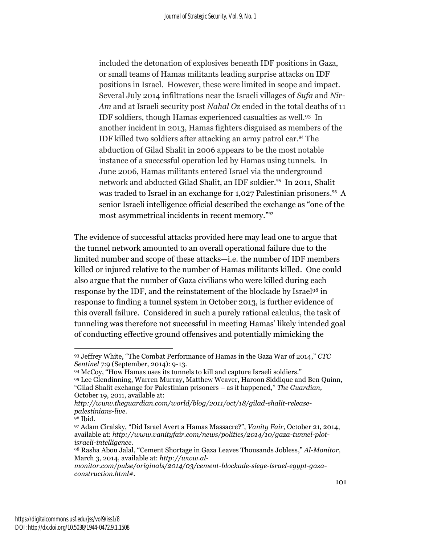included the detonation of explosives beneath IDF positions in Gaza, or small teams of Hamas militants leading surprise attacks on IDF positions in Israel. However, these were limited in scope and impact. Several July 2014 infiltrations near the Israeli villages of *Sufa* and *Nir-Am* and at Israeli security post *Nahal Oz* ended in the total deaths of 11 IDF soldiers, though Hamas experienced casualties as well.<sup>93</sup> In another incident in 2013, Hamas fighters disguised as members of the IDF killed two soldiers after attacking an army patrol car.<sup>94</sup> The abduction of Gilad Shalit in 2006 appears to be the most notable instance of a successful operation led by Hamas using tunnels. In June 2006, Hamas militants entered Israel via the underground network and abducted Gilad Shalit, an IDF soldier.<sup>95</sup> In 2011, Shalit was traded to Israel in an exchange for 1,027 Palestinian prisoners. <sup>96</sup> A senior Israeli intelligence official described the exchange as "one of the most asymmetrical incidents in recent memory." 97

The evidence of successful attacks provided here may lead one to argue that the tunnel network amounted to an overall operational failure due to the limited number and scope of these attacks—i.e. the number of IDF members killed or injured relative to the number of Hamas militants killed. One could also argue that the number of Gaza civilians who were killed during each response by the IDF, and the reinstatement of the blockade by Israel<sup>98</sup> in response to finding a tunnel system in October 2013, is further evidence of this overall failure. Considered in such a purely rational calculus, the task of tunneling was therefore not successful in meeting Hamas' likely intended goal of conducting effective ground offensives and potentially mimicking the

<sup>94</sup> McCoy, "How Hamas uses its tunnels to kill and capture Israeli soldiers."

l <sup>93</sup> Jeffrey White, "The Combat Performance of Hamas in the Gaza War of 2014," *CTC Sentinel* 7:9 (September, 2014): 9-13.

<sup>95</sup> [Lee Glendinning,](http://www.theguardian.com/profile/leeglendinning) [Warren Murray,](http://www.theguardian.com/profile/warrenmurray) [Matthew Weaver,](http://www.theguardian.com/profile/matthewweaver) [Haroon Siddique](http://www.theguardian.com/profile/haroonsiddique) and [Ben Quinn,](http://www.theguardian.com/profile/benquinn) "Gilad Shalit exchange for Palestinian prisoners – as it happened," *The Guardian,*  October 19, 2011, available at:

*http://www.theguardian.com/world/blog/2011/oct/18/gilad-shalit-releasepalestinians-live*.

<sup>&</sup>lt;sup>96</sup> Ibid.

<sup>97</sup> Adam Ciralsky, "Did Israel Avert a Hamas Massacre?", *Vanity Fair,* October 21, 2014, available at: *http://www.vanityfair.com/news/politics/2014/10/gaza-tunnel-plotisraeli-intelligence.*

<sup>98</sup> Rasha Abou Jalal, "Cement Shortage in Gaza Leaves Thousands Jobless," *Al-Monitor,*  March 3, 2014, available at: *http://www.al-*

*monitor.com/pulse/originals/2014/03/cement-blockade-siege-israel-egypt-gazaconstruction.html#.*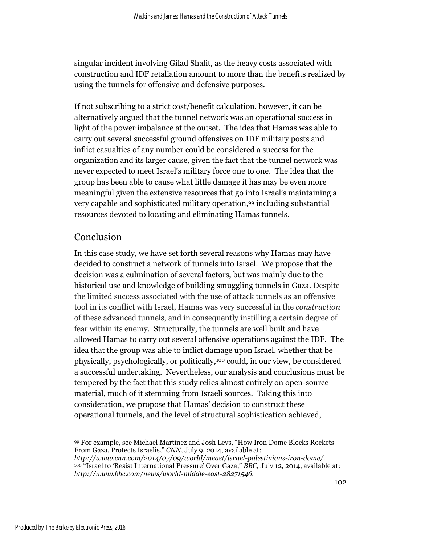singular incident involving Gilad Shalit, as the heavy costs associated with construction and IDF retaliation amount to more than the benefits realized by using the tunnels for offensive and defensive purposes.

If not subscribing to a strict cost/benefit calculation, however, it can be alternatively argued that the tunnel network was an operational success in light of the power imbalance at the outset. The idea that Hamas was able to carry out several successful ground offensives on IDF military posts and inflict casualties of any number could be considered a success for the organization and its larger cause, given the fact that the tunnel network was never expected to meet Israel's military force one to one. The idea that the group has been able to cause what little damage it has may be even more meaningful given the extensive resources that go into Israel's maintaining a very capable and sophisticated military operation, <sup>99</sup> including substantial resources devoted to locating and eliminating Hamas tunnels.

### **Conclusion**

In this case study, we have set forth several reasons why Hamas may have decided to construct a network of tunnels into Israel. We propose that the decision was a culmination of several factors, but was mainly due to the historical use and knowledge of building smuggling tunnels in Gaza. Despite the limited success associated with the use of attack tunnels as an offensive tool in its conflict with Israel, Hamas was very successful in the *construction*  of these advanced tunnels, and in consequently instilling a certain degree of fear within its enemy. Structurally, the tunnels are well built and have allowed Hamas to carry out several offensive operations against the IDF. The idea that the group was able to inflict damage upon Israel, whether that be physically, psychologically, or politically, <sup>100</sup> could, in our view, be considered a successful undertaking. Nevertheless, our analysis and conclusions must be tempered by the fact that this study relies almost entirely on open-source material, much of it stemming from Israeli sources. Taking this into consideration, we propose that Hamas' decision to construct these operational tunnels, and the level of structural sophistication achieved,

 $\overline{\phantom{a}}$ <sup>99</sup> For example, see Michael Martinez and Josh Levs, "How Iron Dome Blocks Rockets From Gaza, Protects Israelis," *CNN,* July 9, 2014, available at:

*http://www.cnn.com/2014/07/09/world/meast/israel-palestinians-iron-dome/.* <sup>100</sup> "Israel to 'Resist International Pressure' Over Gaza," *BBC,* July 12, 2014, available at: *http://www.bbc.com/news/world-middle-east-28271546.*